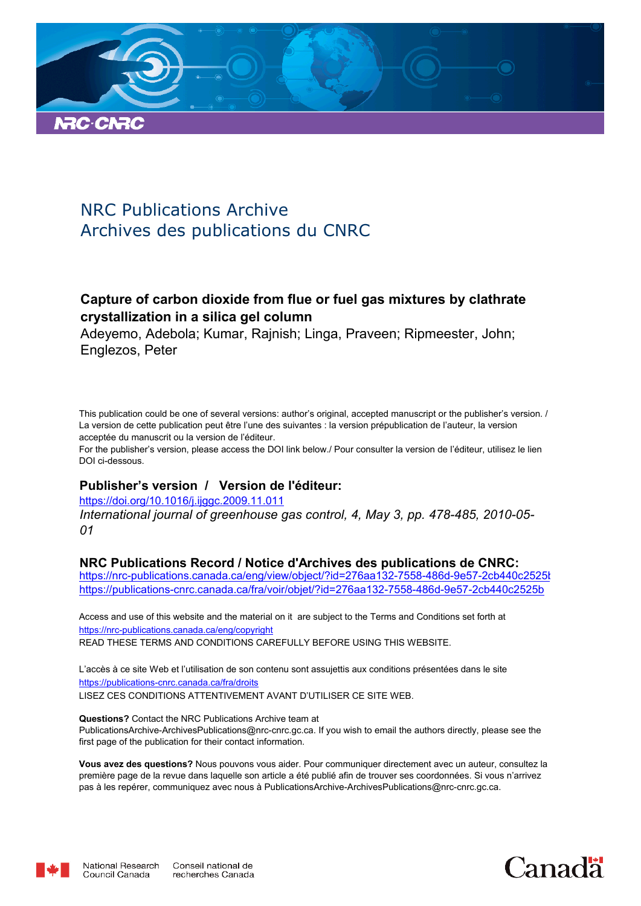

# NRC Publications Archive Archives des publications du CNRC

# **Capture of carbon dioxide from flue or fuel gas mixtures by clathrate crystallization in a silica gel column**

Adeyemo, Adebola; Kumar, Rajnish; Linga, Praveen; Ripmeester, John; Englezos, Peter

This publication could be one of several versions: author's original, accepted manuscript or the publisher's version. / La version de cette publication peut être l'une des suivantes : la version prépublication de l'auteur, la version acceptée du manuscrit ou la version de l'éditeur.

For the publisher's version, please access the DOI link below./ Pour consulter la version de l'éditeur, utilisez le lien DOI ci-dessous.

## **Publisher's version / Version de l'éditeur:**

*International journal of greenhouse gas control, 4, May 3, pp. 478-485, 2010-05- 01* https://doi.org/10.1016/j.ijggc.2009.11.011

## **NRC Publications Record / Notice d'Archives des publications de CNRC:**

https://nrc-publications.canada.ca/eng/view/object/?id=276aa132-7558-486d-9e57-2cb440c2525b https://publications-cnrc.canada.ca/fra/voir/objet/?id=276aa132-7558-486d-9e57-2cb440c2525b

READ THESE TERMS AND CONDITIONS CAREFULLY BEFORE USING THIS WEBSITE. https://nrc-publications.canada.ca/eng/copyright Access and use of this website and the material on it are subject to the Terms and Conditions set forth at

https://publications-cnrc.canada.ca/fra/droits L'accès à ce site Web et l'utilisation de son contenu sont assujettis aux conditions présentées dans le site LISEZ CES CONDITIONS ATTENTIVEMENT AVANT D'UTILISER CE SITE WEB.

**Questions?** Contact the NRC Publications Archive team at PublicationsArchive-ArchivesPublications@nrc-cnrc.gc.ca. If you wish to email the authors directly, please see the first page of the publication for their contact information.

**Vous avez des questions?** Nous pouvons vous aider. Pour communiquer directement avec un auteur, consultez la première page de la revue dans laquelle son article a été publié afin de trouver ses coordonnées. Si vous n'arrivez pas à les repérer, communiquez avec nous à PublicationsArchive-ArchivesPublications@nrc-cnrc.gc.ca.



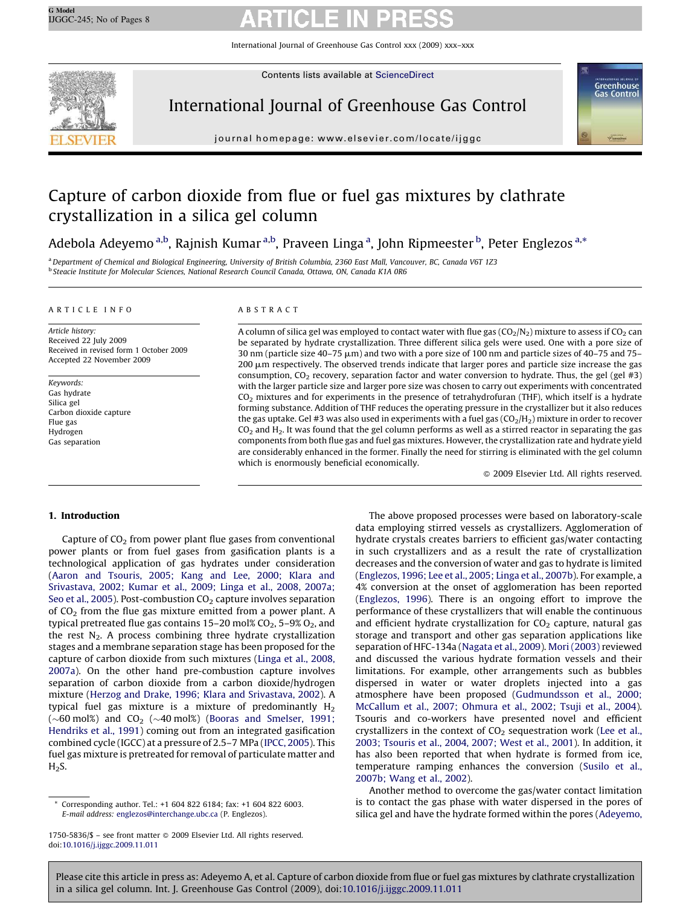International Journal of Greenhouse Gas Control xxx (2009) xxx–xxx



Contents lists available at [ScienceDirect](http://www.sciencedirect.com/science/journal/17505836)

# International Journal of Greenhouse Gas Control



journal homepage: www.elsevier.com/locate/ijggc

# Capture of carbon dioxide from flue or fuel gas mixtures by clathrate crystallization in a silica gel column

Adebola Adeyemo <sup>a,b</sup>, Rajnish Kumar <sup>a,b</sup>, Praveen Linga <sup>a</sup>, John Ripmeester <sup>b</sup>, Peter Englezos <sup>a,</sup>\*

<sup>a</sup>*Department of Chemical and Biological Engineering, University of British Columbia, 2360 East Mall, Vancouver, BC, Canada V6T 1Z3* b *Steacie Institute for Molecular Sciences, National Research Council Canada, Ottawa, ON, Canada K1A 0R6*

#### ARTICLE INFO

*Article history:* Received 22 July 2009 Received in revised form 1 October 2009 Accepted 22 November 2009

*Keywords:* Gas hydrate Silica gel Carbon dioxide capture Flue gas Hydrogen Gas separation

#### ABSTRACT

A column of silica gel was employed to contact water with flue gas  $(CO_2/N_2)$  mixture to assess if  $CO_2$  can be separated by hydrate crystallization. Three different silica gels were used. One with a pore size of 30 nm (particle size 40–75  $\mu$ m) and two with a pore size of 100 nm and particle sizes of 40–75 and 75– 200  $\mu$ m respectively. The observed trends indicate that larger pores and particle size increase the gas consumption,  $CO<sub>2</sub>$  recovery, separation factor and water conversion to hydrate. Thus, the gel (gel #3) with the larger particle size and larger pore size was chosen to carry out experiments with concentrated  $CO<sub>2</sub>$  mixtures and for experiments in the presence of tetrahydrofuran (THF), which itself is a hydrate forming substance. Addition of THF reduces the operating pressure in the crystallizer but it also reduces the gas uptake. Gel #3 was also used in experiments with a fuel gas  $(CO<sub>2</sub>/H<sub>2</sub>)$  mixture in order to recover  $CO<sub>2</sub>$  and H<sub>2</sub>. It was found that the gel column performs as well as a stirred reactor in separating the gas components from both flue gas and fuel gas mixtures. However, the crystallization rate and hydrate yield are considerably enhanced in the former. Finally the need for stirring is eliminated with the gel column which is enormously beneficial economically.

 $@$  2009 Elsevier Ltd. All rights reserved.

#### 1. Introduction

Capture of  $CO<sub>2</sub>$  from power plant flue gases from conventional power plants or from fuel gases from gasification plants is a technological application of gas hydrates under consideration ([Aaron and Tsouris, 2005; Kang and Lee, 2000; Klara and](#page-7-0) [Srivastava, 2002; Kumar et al., 2009; Linga et al., 2008, 2007a;](#page-7-0) [Seo et al., 2005\)](#page-7-0). Post-combustion  $CO<sub>2</sub>$  capture involves separation of  $CO<sub>2</sub>$  from the flue gas mixture emitted from a power plant. A typical pretreated flue gas contains  $15-20$  mol% CO<sub>2</sub>,  $5-9%$  O<sub>2</sub>, and the rest  $N_2$ . A process combining three hydrate crystallization stages and a membrane separation stage has been proposed for the capture of carbon dioxide from such mixtures ([Linga et al., 2008,](#page-7-0) [2007a\)](#page-7-0). On the other hand pre-combustion capture involves separation of carbon dioxide from a carbon dioxide/hydrogen mixture ([Herzog and Drake, 1996; Klara and Srivastava, 2002](#page-7-0)). A typical fuel gas mixture is a mixture of predominantly  $H_2$ ( $\sim$ 60 mol%) and CO<sub>2</sub> ( $\sim$ 40 mol%) ([Booras and Smelser, 1991;](#page-7-0) [Hendriks et al., 1991\)](#page-7-0) coming out from an integrated gasification combined cycle (IGCC) at a pressure of 2.5–7 MPa [\(IPCC, 2005](#page-7-0)). This fuel gas mixture is pretreated for removal of particulate matter and  $H<sub>2</sub>S$ .

The above proposed processes were based on laboratory-scale data employing stirred vessels as crystallizers. Agglomeration of hydrate crystals creates barriers to efficient gas/water contacting in such crystallizers and as a result the rate of crystallization decreases and the conversion of water and gas to hydrate is limited ([Englezos, 1996; Lee et al., 2005; Linga et al., 2007b\)](#page-7-0). For example, a 4% conversion at the onset of agglomeration has been reported ([Englezos, 1996\)](#page-7-0). There is an ongoing effort to improve the performance of these crystallizers that will enable the continuous and efficient hydrate crystallization for  $CO<sub>2</sub>$  capture, natural gas storage and transport and other gas separation applications like separation of HFC-134a ([Nagata et al., 2009\)](#page-8-0). [Mori \(2003\)](#page-8-0) reviewed and discussed the various hydrate formation vessels and their limitations. For example, other arrangements such as bubbles dispersed in water or water droplets injected into a gas atmosphere have been proposed ([Gudmundsson et al., 2000;](#page-7-0) [McCallum et al., 2007; Ohmura et al., 2002; Tsuji et al., 2004\)](#page-7-0). Tsouris and co-workers have presented novel and efficient crystallizers in the context of  $CO<sub>2</sub>$  sequestration work ([Lee et al.,](#page-7-0) [2003; Tsouris et al., 2004, 2007; West et al., 2001\)](#page-7-0). In addition, it has also been reported that when hydrate is formed from ice, temperature ramping enhances the conversion [\(Susilo et al.,](#page-8-0) [2007b; Wang et al., 2002](#page-8-0)).

Another method to overcome the gas/water contact limitation is to contact the gas phase with water dispersed in the pores of silica gel and have the hydrate formed within the pores ([Adeyemo,](#page-7-0)

Corresponding author. Tel.: +1 604 822 6184; fax: +1 604 822 6003. *E-mail address:* [englezos@interchange.ubc.ca](mailto:englezos@interchange.ubc.ca) (P. Englezos).

<sup>1750-5836/\$ -</sup> see front matter @ 2009 Elsevier Ltd. All rights reserved. doi:[10.1016/j.ijggc.2009.11.011](http://dx.doi.org/10.1016/j.ijggc.2009.11.011)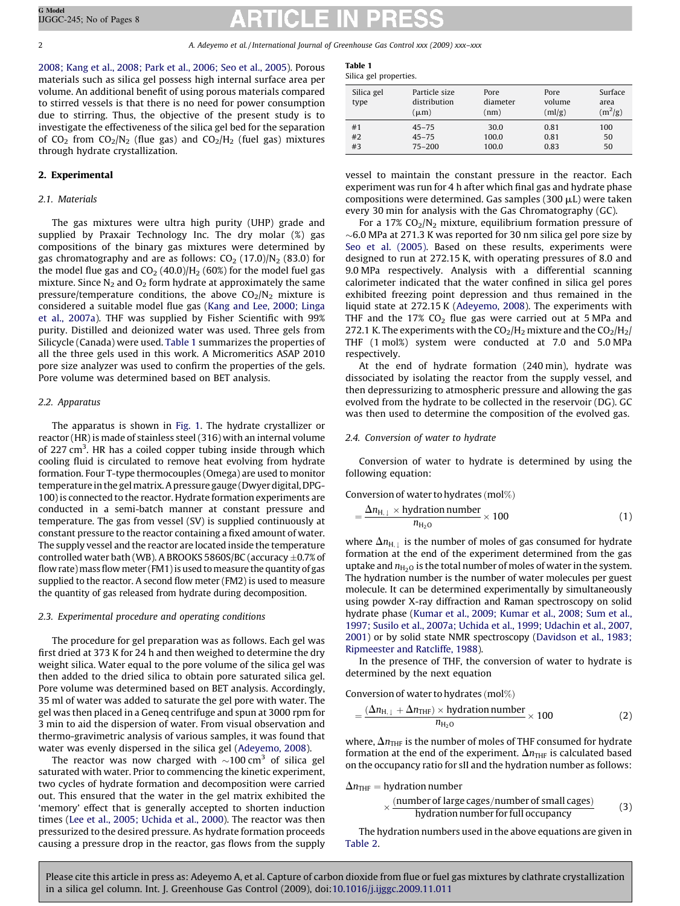[2008; Kang et al., 2008; Park et al., 2006; Seo et al., 2005](#page-7-0)). Porous materials such as silica gel possess high internal surface area per volume. An additional benefit of using porous materials compared to stirred vessels is that there is no need for power consumption due to stirring. Thus, the objective of the present study is to investigate the effectiveness of the silica gel bed for the separation of CO<sub>2</sub> from CO<sub>2</sub>/N<sub>2</sub> (flue gas) and CO<sub>2</sub>/H<sub>2</sub> (fuel gas) mixtures through hydrate crystallization.

### 2. Experimental

### *2.1. Materials*

The gas mixtures were ultra high purity (UHP) grade and supplied by Praxair Technology Inc. The dry molar (%) gas compositions of the binary gas mixtures were determined by gas chromatography and are as follows:  $CO_2$  (17.0)/N<sub>2</sub> (83.0) for the model flue gas and  $CO<sub>2</sub>$  (40.0)/H<sub>2</sub> (60%) for the model fuel gas mixture. Since  $N_2$  and  $O_2$  form hydrate at approximately the same pressure/temperature conditions, the above  $CO<sub>2</sub>/N<sub>2</sub>$  mixture is considered a suitable model flue gas [\(Kang and Lee, 2000; Linga](#page-7-0) [et al., 2007a\)](#page-7-0). THF was supplied by Fisher Scientific with 99% purity. Distilled and deionized water was used. Three gels from Silicycle (Canada) were used. Table 1 summarizes the properties of all the three gels used in this work. A Micromeritics ASAP 2010 pore size analyzer was used to confirm the properties of the gels. Pore volume was determined based on BET analysis.

#### *2.2. Apparatus*

The apparatus is shown in [Fig. 1](#page-3-0). The hydrate crystallizer or reactor (HR) is made of stainless steel (316) with an internal volume of 227 cm<sup>3</sup>. HR has a coiled copper tubing inside through which cooling fluid is circulated to remove heat evolving from hydrate formation. Four T-type thermocouples (Omega) are used to monitor temperature in the gelmatrix. A pressure gauge (Dwyer digital, DPG-100) is connected to the reactor. Hydrate formation experiments are conducted in a semi-batch manner at constant pressure and temperature. The gas from vessel (SV) is supplied continuously at constant pressure to the reactor containing a fixed amount of water. The supply vessel and the reactor are located inside the temperature controlled water bath (WB). A BROOKS 5860S/BC (accuracy  $\pm 0.7\%$  of flow rate) mass flow meter (FM1) is used to measure the quantity of gas supplied to the reactor. A second flow meter (FM2) is used to measure the quantity of gas released from hydrate during decomposition.

#### *2.3. Experimental procedure and operating conditions*

The procedure for gel preparation was as follows. Each gel was first dried at 373 K for 24 h and then weighed to determine the dry weight silica. Water equal to the pore volume of the silica gel was then added to the dried silica to obtain pore saturated silica gel. Pore volume was determined based on BET analysis. Accordingly, 35 ml of water was added to saturate the gel pore with water. The gel was then placed in a Geneq centrifuge and spun at 3000 rpm for 3 min to aid the dispersion of water. From visual observation and thermo-gravimetric analysis of various samples, it was found that water was evenly dispersed in the silica gel ([Adeyemo, 2008](#page-7-0)).

The reactor was now charged with  $\sim$ 100 cm<sup>3</sup> of silica gel saturated with water. Prior to commencing the kinetic experiment, two cycles of hydrate formation and decomposition were carried out. This ensured that the water in the gel matrix exhibited the 'memory' effect that is generally accepted to shorten induction times ([Lee et al., 2005; Uchida et al., 2000\)](#page-7-0). The reactor was then pressurized to the desired pressure. As hydrate formation proceeds causing a pressure drop in the reactor, gas flows from the supply

| Table 1 |                       |
|---------|-----------------------|
|         | Silica gel properties |

| Silica gel<br>type | Particle size<br>distribution<br>$(\mu m)$ | Pore<br>diameter<br>(nm) | Pore<br>volume<br>(ml/g) | Surface<br>area<br>$(m^2/g)$ |
|--------------------|--------------------------------------------|--------------------------|--------------------------|------------------------------|
| #1<br>#2           | $45 - 75$<br>$45 - 75$                     | 30.0<br>100.0            | 0.81<br>0.81             | 100<br>50                    |
| #3                 | $75 - 200$                                 | 100.0                    | 0.83                     | 50                           |

vessel to maintain the constant pressure in the reactor. Each experiment was run for 4 h after which final gas and hydrate phase compositions were determined. Gas samples (300  $\mu$ L) were taken every 30 min for analysis with the Gas Chromatography (GC).

For a 17%  $CO<sub>2</sub>/N<sub>2</sub>$  mixture, equilibrium formation pressure of  $\sim$ 6.0 MPa at 271.3 K was reported for 30 nm silica gel pore size by [Seo et al. \(2005\)](#page-8-0). Based on these results, experiments were designed to run at 272.15 K, with operating pressures of 8.0 and 9.0 MPa respectively. Analysis with a differential scanning calorimeter indicated that the water confined in silica gel pores exhibited freezing point depression and thus remained in the liquid state at 272.15 K ([Adeyemo, 2008\)](#page-7-0). The experiments with THF and the  $17\%$  CO<sub>2</sub> flue gas were carried out at 5 MPa and 272.1 K. The experiments with the  $CO<sub>2</sub>/H<sub>2</sub>$  mixture and the  $CO<sub>2</sub>/H<sub>2</sub>/$ THF (1 mol%) system were conducted at 7.0 and 5.0 MPa respectively.

At the end of hydrate formation (240 min), hydrate was dissociated by isolating the reactor from the supply vessel, and then depressurizing to atmospheric pressure and allowing the gas evolved from the hydrate to be collected in the reservoir (DG). GC was then used to determine the composition of the evolved gas.

#### *2.4. Conversion of water to hydrate*

Conversion of water to hydrate is determined by using the following equation:

$$
Conversion\, of\, water\, to\, hydrates\, (mol\%)
$$

$$
=\frac{\Delta n_{\text{H},\perp} \times \text{hydration number}}{n_{\text{H}_2\text{O}}} \times 100\tag{1}
$$

where  $\Delta n_{\text{H,i}}$  is the number of moles of gas consumed for hydrate formation at the end of the experiment determined from the gas uptake and  $n_{\text{H}_2O}$  is the total number of moles of water in the system. The hydration number is the number of water molecules per guest molecule. It can be determined experimentally by simultaneously using powder X-ray diffraction and Raman spectroscopy on solid hydrate phase [\(Kumar et al., 2009; Kumar et al., 2008; Sum et al.,](#page-7-0) [1997; Susilo et al., 2007a; Uchida et al., 1999; Udachin et al., 2007,](#page-7-0) [2001\)](#page-7-0) or by solid state NMR spectroscopy ([Davidson et al., 1983;](#page-7-0) [Ripmeester and Ratcliffe, 1988\)](#page-7-0).

In the presence of THF, the conversion of water to hydrate is determined by the next equation

Conversion of water to hydrates  $(mod\%)$ 

$$
=\frac{(\Delta n_{\text{H},\downarrow} + \Delta n_{\text{THF}}) \times \text{hydration number}}{n_{\text{H}_2\text{O}}} \times 100
$$
 (2)

where,  $\Delta n_{\text{THF}}$  is the number of moles of THF consumed for hydrate formation at the end of the experiment.  $\Delta n_{\text{THF}}$  is calculated based on the occupancy ratio for sII and the hydration number as follows:

 $\Delta n_{\text{THF}} =$  hydration number

$$
\times \frac{(number of large cages/number of small cages)}{hydration number for full occupancy} \tag{3}
$$

The hydration numbers used in the above equations are given in [Table 2.](#page-3-0)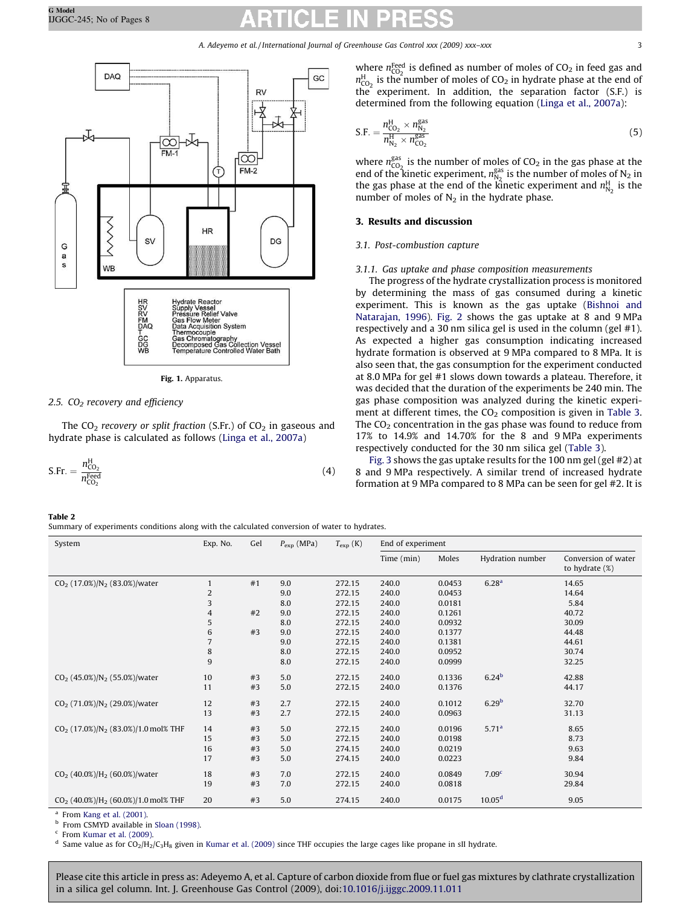<span id="page-3-0"></span>

Fig. 1. Apparatus.

#### *2.5. CO<sup>2</sup> recovery and efficiency*

The  $CO<sub>2</sub>$  *recovery or split fraction* (S.Fr.) of  $CO<sub>2</sub>$  in gaseous and hydrate phase is calculated as follows ([Linga et al., 2007a](#page-8-0))

$$
\text{S.Fr.} = \frac{n_{\text{CO}_2}^{\text{H}}}{n_{\text{CO}_2}^{\text{Feed}}} \tag{4}
$$

 $n_{\text{CO}_2}^{\text{H}}$  is the number of moles of CO<sub>2</sub> in hydrate phase at the end of  $t$  he experiment. In addition, the separation factor (S.F.) is determined from the following equation ([Linga et al., 2007a\)](#page-8-0):  $\overline{\mathsf{S}}$ *n* H  $CO<sub>2</sub>$  *n* gas  $_{\rm N_2}$ 

$$
F = \frac{n_{\text{CO}_2}^2 \times n_{\text{N}_2}^2}{n_{\text{N}_2}^{\text{H}} \times n_{\text{CO}_2}^{\text{gas}}}
$$
(5)

where  $n_{CO_2}^{\text{feed}}$  is defined as number of moles of  $CO_2$  in feed gas and

where  $n_{CO_2}^{gas}$  is the number of moles of  $CO_2$  in the gas phase at the end of the kinetic experiment,  $n_{N_2}^{gas}$  is the number of moles of N<sub>2</sub> in the gas phase at the end of the kinetic experiment and  $n_{N_2}^H$  is the number of moles of  $N_2$  in the hydrate phase.

### 3. Results and discussion

#### *3.1. Post-combustion capture*

#### *3.1.1. Gas uptake and phase composition measurements*

The progress of the hydrate crystallization process is monitored by determining the mass of gas consumed during a kinetic experiment. This is known as the gas uptake [\(Bishnoi and](#page-7-0) [Natarajan, 1996](#page-7-0)). [Fig. 2](#page-4-0) shows the gas uptake at 8 and 9 MPa respectively and a 30 nm silica gel is used in the column (gel #1). As expected a higher gas consumption indicating increased hydrate formation is observed at 9 MPa compared to 8 MPa. It is also seen that, the gas consumption for the experiment conducted at 8.0 MPa for gel #1 slows down towards a plateau. Therefore, it was decided that the duration of the experiments be 240 min. The gas phase composition was analyzed during the kinetic experiment at different times, the  $CO<sub>2</sub>$  composition is given in [Table 3.](#page-4-0) The  $CO<sub>2</sub>$  concentration in the gas phase was found to reduce from 17% to 14.9% and 14.70% for the 8 and 9 MPa experiments respectively conducted for the 30 nm silica gel [\(Table 3](#page-4-0)).

[Fig. 3](#page-4-0) shows the gas uptake results for the 100 nm gel (gel #2) at 8 and 9 MPa respectively. A similar trend of increased hydrate formation at 9 MPa compared to 8 MPa can be seen for gel #2. It is

### Table 2

Summary of experiments conditions along with the calculated conversion of water to hydrates.

| System                                            | Exp. No.                              | Gel | $P_{\rm exp}$ (MPa) | $T_{\rm exp}$ (K) | End of experiment |        |                   |                                          |
|---------------------------------------------------|---------------------------------------|-----|---------------------|-------------------|-------------------|--------|-------------------|------------------------------------------|
|                                                   |                                       |     |                     |                   | Time (min)        | Moles  | Hydration number  | Conversion of water<br>to hydrate $(\%)$ |
| $CO2$ (17.0%)/N <sub>2</sub> (83.0%)/water        | $\mathbf{1}$                          | #1  | 9.0                 | 272.15            | 240.0             | 0.0453 | 6.28 <sup>a</sup> | 14.65                                    |
|                                                   |                                       |     | 9.0                 | 272.15            | 240.0             | 0.0453 |                   | 14.64                                    |
|                                                   | $\begin{array}{c} 2 \\ 3 \end{array}$ |     | 8.0                 | 272.15            | 240.0             | 0.0181 |                   | 5.84                                     |
|                                                   | $\overline{4}$                        | #2  | 9.0                 | 272.15            | 240.0             | 0.1261 |                   | 40.72                                    |
|                                                   | $\sqrt{5}$                            |     | 8.0                 | 272.15            | 240.0             | 0.0932 |                   | 30.09                                    |
|                                                   | $\,6\,$                               | #3  | 9.0                 | 272.15            | 240.0             | 0.1377 |                   | 44.48                                    |
|                                                   | $\overline{7}$                        |     | 9.0                 | 272.15            | 240.0             | 0.1381 |                   | 44.61                                    |
|                                                   | $\,$ 8 $\,$                           |     | 8.0                 | 272.15            | 240.0             | 0.0952 |                   | 30.74                                    |
|                                                   | $\overline{9}$                        |     | 8.0                 | 272.15            | 240.0             | 0.0999 |                   | 32.25                                    |
| $CO2$ (45.0%)/N <sub>2</sub> (55.0%)/water        | 10                                    | #3  | 5.0                 | 272.15            | 240.0             | 0.1336 | 6.24 <sup>b</sup> | 42.88                                    |
|                                                   | 11                                    | #3  | 5.0                 | 272.15            | 240.0             | 0.1376 |                   | 44.17                                    |
| $CO2$ (71.0%)/N <sub>2</sub> (29.0%)/water        | 12                                    | #3  | 2.7                 | 272.15            | 240.0             | 0.1012 | 6.29 <sup>b</sup> | 32.70                                    |
|                                                   | 13                                    | #3  | 2.7                 | 272.15            | 240.0             | 0.0963 |                   | 31.13                                    |
| $CO2$ (17.0%)/N <sub>2</sub> (83.0%)/1.0 mol% THF | 14                                    | #3  | 5.0                 | 272.15            | 240.0             | 0.0196 | 5.71 <sup>a</sup> | 8.65                                     |
|                                                   | 15                                    | #3  | 5.0                 | 272.15            | 240.0             | 0.0198 |                   | 8.73                                     |
|                                                   | 16                                    | #3  | 5.0                 | 274.15            | 240.0             | 0.0219 |                   | 9.63                                     |
|                                                   | 17                                    | #3  | 5.0                 | 274.15            | 240.0             | 0.0223 |                   | 9.84                                     |
| $CO2$ (40.0%)/H <sub>2</sub> (60.0%)/water        | 18                                    | #3  | 7.0                 | 272.15            | 240.0             | 0.0849 | 7.09 <sup>c</sup> | 30.94                                    |
|                                                   | 19                                    | #3  | 7.0                 | 272.15            | 240.0             | 0.0818 |                   | 29.84                                    |
| $CO2$ (40.0%)/H <sub>2</sub> (60.0%)/1.0 mol% THF | 20                                    | #3  | 5.0                 | 274.15            | 240.0             | 0.0175 | $10.05^d$         | 9.05                                     |

a From [Kang et al. \(2001\)](#page-7-0).

<sup>b</sup> From CSMYD available in [Sloan \(1998\).](#page-8-0)

c From [Kumar et al. \(2009\)](#page-7-0).

d Same value as for  $CO_2/H_2/C_3H_8$  given in [Kumar et al. \(2009\)](#page-7-0) since THF occupies the large cages like propane in sII hydrate.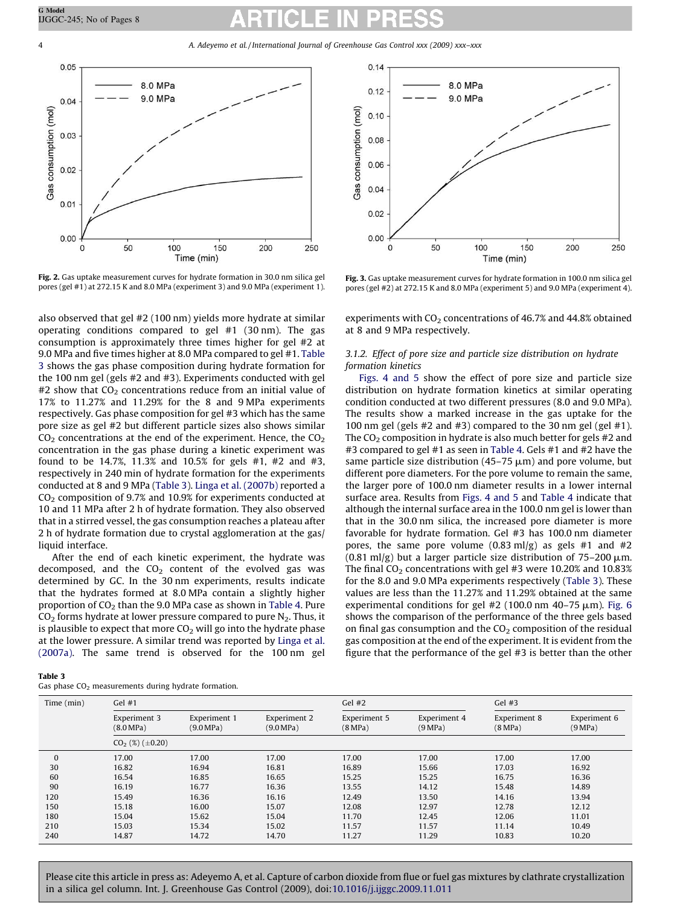<span id="page-4-0"></span>4 *A. Adeyemo et al. / International Journal of Greenhouse Gas Control xxx (2009) xxx–xxx*



Fig. 2. Gas uptake measurement curves for hydrate formation in 30.0 nm silica gel pores (gel #1) at 272.15 K and 8.0 MPa (experiment 3) and 9.0 MPa (experiment 1).

also observed that gel #2 (100 nm) yields more hydrate at similar operating conditions compared to gel #1 (30 nm). The gas consumption is approximately three times higher for gel #2 at 9.0 MPa and five times higher at 8.0 MPa compared to gel #1. Table 3 shows the gas phase composition during hydrate formation for the 100 nm gel (gels #2 and #3). Experiments conducted with gel  $#2$  show that  $CO<sub>2</sub>$  concentrations reduce from an initial value of 17% to 11.27% and 11.29% for the 8 and 9 MPa experiments respectively. Gas phase composition for gel #3 which has the same pore size as gel #2 but different particle sizes also shows similar  $CO<sub>2</sub>$  concentrations at the end of the experiment. Hence, the  $CO<sub>2</sub>$ concentration in the gas phase during a kinetic experiment was found to be 14.7%, 11.3% and 10.5% for gels #1, #2 and #3, respectively in 240 min of hydrate formation for the experiments conducted at 8 and 9 MPa (Table 3). [Linga et al. \(2007b\)](#page-8-0) reported a  $CO<sub>2</sub>$  composition of 9.7% and 10.9% for experiments conducted at 10 and 11 MPa after 2 h of hydrate formation. They also observed that in a stirred vessel, the gas consumption reaches a plateau after 2 h of hydrate formation due to crystal agglomeration at the gas/ liquid interface.

After the end of each kinetic experiment, the hydrate was decomposed, and the  $CO<sub>2</sub>$  content of the evolved gas was determined by GC. In the 30 nm experiments, results indicate that the hydrates formed at 8.0 MPa contain a slightly higher proportion of  $CO<sub>2</sub>$  than the 9.0 MPa case as shown in [Table 4](#page-5-0). Pure  $CO<sub>2</sub>$  forms hydrate at lower pressure compared to pure  $N<sub>2</sub>$ . Thus, it is plausible to expect that more  $CO<sub>2</sub>$  will go into the hydrate phase at the lower pressure. A similar trend was reported by [Linga et al.](#page-8-0) [\(2007a\)](#page-8-0). The same trend is observed for the 100 nm gel



Fig. 3. Gas uptake measurement curves for hydrate formation in 100.0 nm silica gel pores (gel #2) at 272.15 K and 8.0 MPa (experiment 5) and 9.0 MPa (experiment 4).

experiments with  $CO<sub>2</sub>$  concentrations of 46.7% and 44.8% obtained at 8 and 9 MPa respectively.

### *3.1.2. Effect of pore size and particle size distribution on hydrate formation kinetics*

[Figs. 4 and 5](#page-5-0) show the effect of pore size and particle size distribution on hydrate formation kinetics at similar operating condition conducted at two different pressures (8.0 and 9.0 MPa). The results show a marked increase in the gas uptake for the 100 nm gel (gels #2 and #3) compared to the 30 nm gel (gel #1). The  $CO<sub>2</sub>$  composition in hydrate is also much better for gels #2 and #3 compared to gel #1 as seen in [Table 4](#page-5-0). Gels #1 and #2 have the same particle size distribution (45–75  $\mu$ m) and pore volume, but different pore diameters. For the pore volume to remain the same, the larger pore of 100.0 nm diameter results in a lower internal surface area. Results from [Figs. 4 and 5](#page-5-0) and [Table 4](#page-5-0) indicate that although the internal surface area in the 100.0 nm gel is lower than that in the 30.0 nm silica, the increased pore diameter is more favorable for hydrate formation. Gel #3 has 100.0 nm diameter pores, the same pore volume  $(0.83 \text{ ml/g})$  as gels #1 and #2 (0.81 ml/g) but a larger particle size distribution of  $75-200 \mu m$ . The final  $CO<sub>2</sub>$  concentrations with gel #3 were 10.20% and 10.83% for the 8.0 and 9.0 MPa experiments respectively (Table 3). These values are less than the 11.27% and 11.29% obtained at the same experimental conditions for gel #2 (100.0 nm 40-75  $\mu$ m). [Fig. 6](#page-5-0) shows the comparison of the performance of the three gels based on final gas consumption and the  $CO<sub>2</sub>$  composition of the residual gas composition at the end of the experiment. It is evident from the figure that the performance of the gel #3 is better than the other

| Time (min)<br>Gel $#1$ |                           |                           |                           | Gel $#2$                |                         | Gel $#3$                |                         |
|------------------------|---------------------------|---------------------------|---------------------------|-------------------------|-------------------------|-------------------------|-------------------------|
|                        | Experiment 3<br>(8.0 MPa) | Experiment 1<br>(9.0 MPa) | Experiment 2<br>(9.0 MPa) | Experiment 5<br>(8 MPa) | Experiment 4<br>(9 MPa) | Experiment 8<br>(8 MPa) | Experiment 6<br>(9 MPa) |
|                        | $CO2(%) (\pm 0.20)$       |                           |                           |                         |                         |                         |                         |
| $\mathbf{0}$           | 17.00                     | 17.00                     | 17.00                     | 17.00                   | 17.00                   | 17.00                   | 17.00                   |
| 30                     | 16.82                     | 16.94                     | 16.81                     | 16.89                   | 15.66                   | 17.03                   | 16.92                   |
| 60                     | 16.54                     | 16.85                     | 16.65                     | 15.25                   | 15.25                   | 16.75                   | 16.36                   |
| 90                     | 16.19                     | 16.77                     | 16.36                     | 13.55                   | 14.12                   | 15.48                   | 14.89                   |
| 120                    | 15.49                     | 16.36                     | 16.16                     | 12.49                   | 13.50                   | 14.16                   | 13.94                   |
| 150                    | 15.18                     | 16.00                     | 15.07                     | 12.08                   | 12.97                   | 12.78                   | 12.12                   |
| 180                    | 15.04                     | 15.62                     | 15.04                     | 11.70                   | 12.45                   | 12.06                   | 11.01                   |
| 210                    | 15.03                     | 15.34                     | 15.02                     | 11.57                   | 11.57                   | 11.14                   | 10.49                   |
| 240                    | 14.87                     | 14.72                     | 14.70                     | 11.27                   | 11.29                   | 10.83                   | 10.20                   |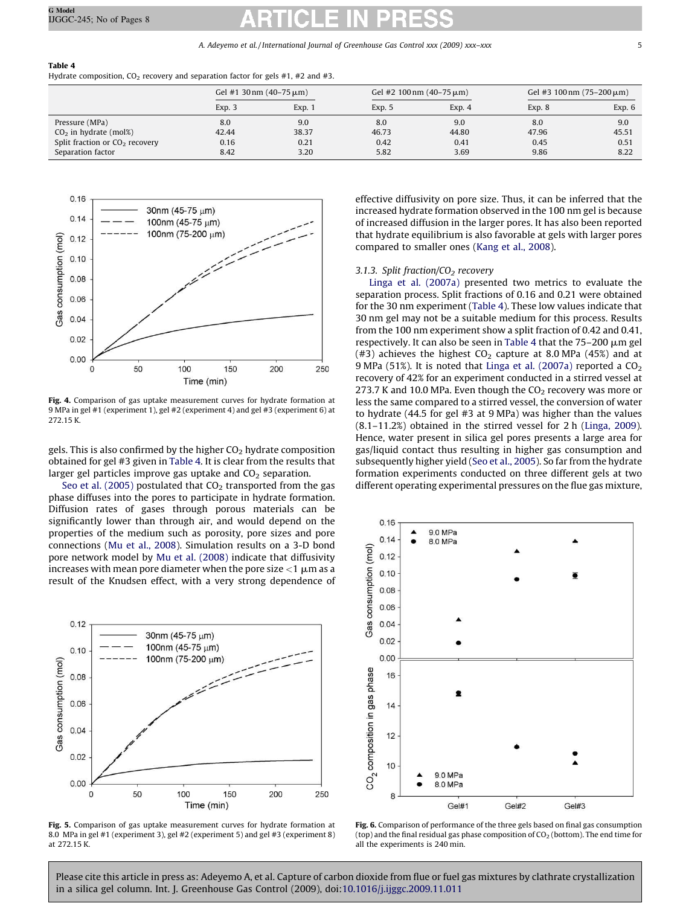### <span id="page-5-0"></span>Table 4

Hydrate composition, CO<sub>2</sub> recovery and separation factor for gels #1, #2 and #3.

|                                  | Gel #1 30 nm $(40-75 \,\mu m)$ |        | Gel #2 100 nm $(40-75 \,\mu m)$ |        | Gel #3 100 nm $(75-200 \,\mu m)$ |        |
|----------------------------------|--------------------------------|--------|---------------------------------|--------|----------------------------------|--------|
|                                  | Exp. 3                         | Exp. 1 | Exp. 5                          | Exp. 4 | Exp. 8                           | Exp. 6 |
| Pressure (MPa)                   | 8.0                            | 9.0    | 8.0                             | 9.0    | 8.0                              | 9.0    |
| $CO2$ in hydrate (mol%)          | 42.44                          | 38.37  | 46.73                           | 44.80  | 47.96                            | 45.51  |
| Split fraction or $CO2$ recovery | 0.16                           | 0.21   | 0.42                            | 0.41   | 0.45                             | 0.51   |
| Separation factor                | 8.42                           | 3.20   | 5.82                            | 3.69   | 9.86                             | 8.22   |



Fig. 4. Comparison of gas uptake measurement curves for hydrate formation at 9 MPa in gel #1 (experiment 1), gel #2 (experiment 4) and gel #3 (experiment 6) at 272.15 K.

gels. This is also confirmed by the higher  $CO<sub>2</sub>$  hydrate composition obtained for gel #3 given in Table 4. It is clear from the results that larger gel particles improve gas uptake and  $CO<sub>2</sub>$  separation.

[Seo et al. \(2005\)](#page-8-0) postulated that  $CO<sub>2</sub>$  transported from the gas phase diffuses into the pores to participate in hydrate formation. Diffusion rates of gases through porous materials can be significantly lower than through air, and would depend on the properties of the medium such as porosity, pore sizes and pore connections ([Mu et al., 2008](#page-8-0)). Simulation results on a 3-D bond pore network model by [Mu et al. \(2008\)](#page-8-0) indicate that diffusivity increases with mean pore diameter when the pore size  $<$ 1  $\mu$ m as a result of the Knudsen effect, with a very strong dependence of



Fig. 5. Comparison of gas uptake measurement curves for hydrate formation at 8.0 MPa in gel #1 (experiment 3), gel #2 (experiment 5) and gel #3 (experiment 8) at 272.15 K.

effective diffusivity on pore size. Thus, it can be inferred that the increased hydrate formation observed in the 100 nm gel is because of increased diffusion in the larger pores. It has also been reported that hydrate equilibrium is also favorable at gels with larger pores compared to smaller ones ([Kang et al., 2008](#page-7-0)).

#### *3.1.3. Split fraction/CO<sup>2</sup> recovery*

[Linga et al. \(2007a\)](#page-8-0) presented two metrics to evaluate the separation process. Split fractions of 0.16 and 0.21 were obtained for the 30 nm experiment (Table 4). These low values indicate that 30 nm gel may not be a suitable medium for this process. Results from the 100 nm experiment show a split fraction of 0.42 and 0.41, respectively. It can also be seen in Table 4 that the  $75-200 \mu m$  gel (#3) achieves the highest  $CO<sub>2</sub>$  capture at 8.0 MPa (45%) and at 9 MPa (51%). It is noted that [Linga et al. \(2007a\)](#page-8-0) reported a  $CO<sub>2</sub>$ recovery of 42% for an experiment conducted in a stirred vessel at 273.7 K and 10.0 MPa. Even though the  $CO<sub>2</sub>$  recovery was more or less the same compared to a stirred vessel, the conversion of water to hydrate (44.5 for gel #3 at 9 MPa) was higher than the values (8.1–11.2%) obtained in the stirred vessel for 2 h [\(Linga, 2009\)](#page-7-0). Hence, water present in silica gel pores presents a large area for gas/liquid contact thus resulting in higher gas consumption and subsequently higher yield ([Seo et al., 2005](#page-8-0)). So far from the hydrate formation experiments conducted on three different gels at two different operating experimental pressures on the flue gas mixture,



Fig. 6. Comparison of performance of the three gels based on final gas consumption (top) and the final residual gas phase composition of  $CO<sub>2</sub>$  (bottom). The end time for all the experiments is 240 min.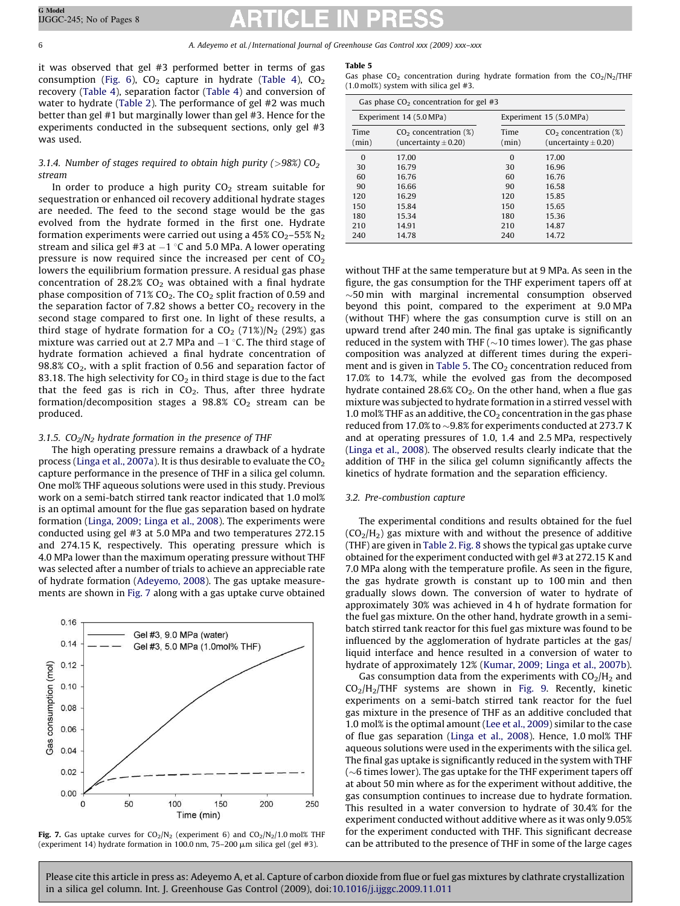it was observed that gel #3 performed better in terms of gas consumption [\(Fig. 6](#page-5-0)),  $CO<sub>2</sub>$  capture in hydrate ([Table 4](#page-5-0)),  $CO<sub>2</sub>$ recovery ([Table 4](#page-5-0)), separation factor ([Table 4](#page-5-0)) and conversion of water to hydrate [\(Table 2](#page-3-0)). The performance of gel #2 was much better than gel #1 but marginally lower than gel #3. Hence for the experiments conducted in the subsequent sections, only gel #3 was used.

### *3.1.4. Number of stages required to obtain high purity (*>*98%) CO<sup>2</sup> stream*

In order to produce a high purity  $CO<sub>2</sub>$  stream suitable for sequestration or enhanced oil recovery additional hydrate stages are needed. The feed to the second stage would be the gas evolved from the hydrate formed in the first one. Hydrate formation experiments were carried out using a  $45\%$  CO<sub>2</sub>–55% N<sub>2</sub> stream and silica gel #3 at  $-1$  °C and 5.0 MPa. A lower operating pressure is now required since the increased per cent of  $CO<sub>2</sub>$ lowers the equilibrium formation pressure. A residual gas phase concentration of 28.2%  $CO<sub>2</sub>$  was obtained with a final hydrate phase composition of 71%  $CO<sub>2</sub>$ . The  $CO<sub>2</sub>$  split fraction of 0.59 and the separation factor of 7.82 shows a better  $CO<sub>2</sub>$  recovery in the second stage compared to first one. In light of these results, a third stage of hydrate formation for a  $CO<sub>2</sub>$  (71%)/N<sub>2</sub> (29%) gas mixture was carried out at 2.7 MPa and  $-1$  °C. The third stage of hydrate formation achieved a final hydrate concentration of  $98.8\%$  CO<sub>2</sub>, with a split fraction of 0.56 and separation factor of 83.18. The high selectivity for  $CO<sub>2</sub>$  in third stage is due to the fact that the feed gas is rich in  $CO<sub>2</sub>$ . Thus, after three hydrate formation/decomposition stages a  $98.8\%$  CO<sub>2</sub> stream can be produced.

## *3.1.5. CO2/N<sup>2</sup> hydrate formation in the presence of THF*

The high operating pressure remains a drawback of a hydrate process [\(Linga et al., 2007a\)](#page-8-0). It is thus desirable to evaluate the  $CO<sub>2</sub>$ capture performance in the presence of THF in a silica gel column. One mol% THF aqueous solutions were used in this study. Previous work on a semi-batch stirred tank reactor indicated that 1.0 mol% is an optimal amount for the flue gas separation based on hydrate formation [\(Linga, 2009; Linga et al., 2008\)](#page-7-0). The experiments were conducted using gel #3 at 5.0 MPa and two temperatures 272.15 and 274.15 K, respectively. This operating pressure which is 4.0 MPa lower than the maximum operating pressure without THF was selected after a number of trials to achieve an appreciable rate of hydrate formation [\(Adeyemo, 2008\)](#page-7-0). The gas uptake measurements are shown in Fig. 7 along with a gas uptake curve obtained





#### Table 5

Gas phase  $CO<sub>2</sub>$  concentration during hydrate formation from the  $CO<sub>2</sub>/N<sub>2</sub>/THF$ (1.0 mol%) system with silica gel #3.

| Gas phase $CO2$ concentration for gel #3 |                                                        |                         |                                                        |  |  |
|------------------------------------------|--------------------------------------------------------|-------------------------|--------------------------------------------------------|--|--|
| Experiment 14 (5.0 MPa)                  |                                                        | Experiment 15 (5.0 MPa) |                                                        |  |  |
| Time<br>(min)                            | $CO2$ concentration $(\%)$<br>(uncertainty $\pm$ 0.20) | Time<br>(min)           | $CO2$ concentration $(\%)$<br>(uncertainty $\pm$ 0.20) |  |  |
| $\Omega$                                 | 17.00                                                  | $\Omega$                | 17.00                                                  |  |  |
| 30                                       | 16.79                                                  | 30                      | 16.96                                                  |  |  |
| 60                                       | 16.76                                                  | 60                      | 16.76                                                  |  |  |
| 90                                       | 16.66                                                  | 90                      | 16.58                                                  |  |  |
| 120                                      | 16.29                                                  | 120                     | 15.85                                                  |  |  |
| 150                                      | 15.84                                                  | 150                     | 15.65                                                  |  |  |
| 180                                      | 15.34                                                  | 180                     | 15.36                                                  |  |  |
| 210                                      | 14.91                                                  | 210                     | 14.87                                                  |  |  |
| 240                                      | 14.78                                                  | 240                     | 14.72                                                  |  |  |

without THF at the same temperature but at 9 MPa. As seen in the figure, the gas consumption for the THF experiment tapers off at  $\sim$ 50 min with marginal incremental consumption observed beyond this point, compared to the experiment at 9.0 MPa (without THF) where the gas consumption curve is still on an upward trend after 240 min. The final gas uptake is significantly reduced in the system with THF  $(\sim 10)$  times lower). The gas phase composition was analyzed at different times during the experiment and is given in Table 5. The  $CO<sub>2</sub>$  concentration reduced from 17.0% to 14.7%, while the evolved gas from the decomposed hydrate contained 28.6%  $CO<sub>2</sub>$ . On the other hand, when a flue gas mixture was subjected to hydrate formation in a stirred vessel with 1.0 mol% THF as an additive, the  $CO<sub>2</sub>$  concentration in the gas phase reduced from 17.0% to  $\sim$  9.8% for experiments conducted at 273.7 K and at operating pressures of 1.0, 1.4 and 2.5 MPa, respectively ([Linga et al., 2008\)](#page-7-0). The observed results clearly indicate that the addition of THF in the silica gel column significantly affects the kinetics of hydrate formation and the separation efficiency.

### *3.2. Pre-combustion capture*

The experimental conditions and results obtained for the fuel  $(CO<sub>2</sub>/H<sub>2</sub>)$  gas mixture with and without the presence of additive (THF) are given in [Table 2](#page-3-0). [Fig. 8](#page-7-0) shows the typical gas uptake curve obtained for the experiment conducted with gel #3 at 272.15 K and 7.0 MPa along with the temperature profile. As seen in the figure, the gas hydrate growth is constant up to 100 min and then gradually slows down. The conversion of water to hydrate of approximately 30% was achieved in 4 h of hydrate formation for the fuel gas mixture. On the other hand, hydrate growth in a semibatch stirred tank reactor for this fuel gas mixture was found to be influenced by the agglomeration of hydrate particles at the gas/ liquid interface and hence resulted in a conversion of water to hydrate of approximately 12% ([Kumar, 2009; Linga et al., 2007b\)](#page-7-0).

Gas consumption data from the experiments with  $CO<sub>2</sub>/H<sub>2</sub>$  and  $CO<sub>2</sub>/H<sub>2</sub>/THF$  systems are shown in [Fig. 9.](#page-7-0) Recently, kinetic experiments on a semi-batch stirred tank reactor for the fuel gas mixture in the presence of THF as an additive concluded that 1.0 mol% is the optimal amount ([Lee et al., 2009\)](#page-7-0) similar to the case of flue gas separation ([Linga et al., 2008](#page-7-0)). Hence, 1.0 mol% THF aqueous solutions were used in the experiments with the silica gel. The final gas uptake is significantly reduced in the system with THF ( $\sim$ 6 times lower). The gas uptake for the THF experiment tapers off at about 50 min where as for the experiment without additive, the gas consumption continues to increase due to hydrate formation. This resulted in a water conversion to hydrate of 30.4% for the experiment conducted without additive where as it was only 9.05% for the experiment conducted with THF. This significant decrease can be attributed to the presence of THF in some of the large cages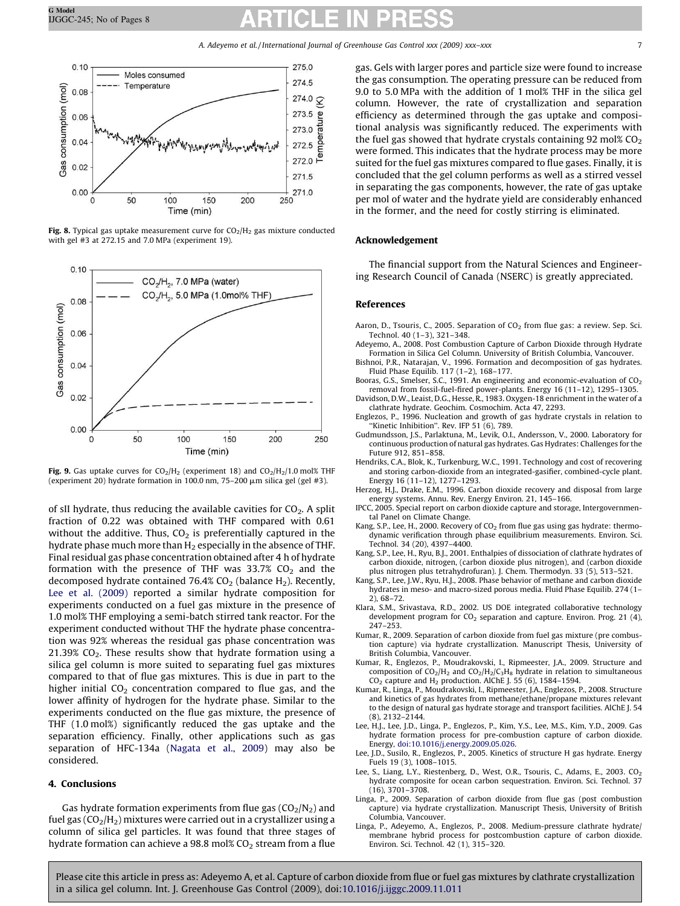<span id="page-7-0"></span>

Fig. 8. Typical gas uptake measurement curve for  $CO<sub>2</sub>/H<sub>2</sub>$  gas mixture conducted with gel #3 at 272.15 and 7.0 MPa (experiment 19).



Fig. 9. Gas uptake curves for  $CO<sub>2</sub>/H<sub>2</sub>$  (experiment 18) and  $CO<sub>2</sub>/H<sub>2</sub>/1.0$  mol% THF (experiment 20) hydrate formation in 100.0 nm, 75-200  $\mu$ m silica gel (gel #3).

of sII hydrate, thus reducing the available cavities for  $CO<sub>2</sub>$ . A split fraction of 0.22 was obtained with THF compared with 0.61 without the additive. Thus,  $CO<sub>2</sub>$  is preferentially captured in the hydrate phase much more than  $H_2$  especially in the absence of THF. Final residual gas phase concentration obtained after 4 h of hydrate formation with the presence of THF was  $33.7\%$  CO<sub>2</sub> and the decomposed hydrate contained 76.4%  $CO<sub>2</sub>$  (balance H<sub>2</sub>). Recently, Lee et al. (2009) reported a similar hydrate composition for experiments conducted on a fuel gas mixture in the presence of 1.0 mol% THF employing a semi-batch stirred tank reactor. For the experiment conducted without THF the hydrate phase concentration was 92% whereas the residual gas phase concentration was 21.39%  $CO<sub>2</sub>$ . These results show that hydrate formation using a silica gel column is more suited to separating fuel gas mixtures compared to that of flue gas mixtures. This is due in part to the higher initial  $CO<sub>2</sub>$  concentration compared to flue gas, and the lower affinity of hydrogen for the hydrate phase. Similar to the experiments conducted on the flue gas mixture, the presence of THF (1.0 mol%) significantly reduced the gas uptake and the separation efficiency. Finally, other applications such as gas separation of HFC-134a [\(Nagata et al., 2009](#page-8-0)) may also be considered.

### 4. Conclusions

Gas hydrate formation experiments from flue gas  $(CO<sub>2</sub>/N<sub>2</sub>)$  and fuel gas  $(CO<sub>2</sub>/H<sub>2</sub>)$  mixtures were carried out in a crystallizer using a column of silica gel particles. It was found that three stages of hydrate formation can achieve a 98.8 mol%  $CO<sub>2</sub>$  stream from a flue gas. Gels with larger pores and particle size were found to increase the gas consumption. The operating pressure can be reduced from 9.0 to 5.0 MPa with the addition of 1 mol% THF in the silica gel column. However, the rate of crystallization and separation efficiency as determined through the gas uptake and compositional analysis was significantly reduced. The experiments with the fuel gas showed that hydrate crystals containing 92 mol%  $CO<sub>2</sub>$ were formed. This indicates that the hydrate process may be more suited for the fuel gas mixtures compared to flue gases. Finally, it is concluded that the gel column performs as well as a stirred vessel in separating the gas components, however, the rate of gas uptake per mol of water and the hydrate yield are considerably enhanced in the former, and the need for costly stirring is eliminated.

### Acknowledgement

The financial support from the Natural Sciences and Engineering Research Council of Canada (NSERC) is greatly appreciated.

#### References

- Aaron, D., Tsouris, C., 2005. Separation of  $CO<sub>2</sub>$  from flue gas: a review. Sep. Sci. Technol. 40 (1–3), 321–348.
- Adeyemo, A., 2008. Post Combustion Capture of Carbon Dioxide through Hydrate Formation in Silica Gel Column. University of British Columbia, Vancouver.
- Bishnoi, P.R., Natarajan, V., 1996. Formation and decomposition of gas hydrates. Fluid Phase Equilib. 117 (1–2), 168–177.
- Booras, G.S., Smelser, S.C., 1991. An engineering and economic-evaluation of  $CO<sub>2</sub>$ removal from fossil-fuel-fired power-plants. Energy 16 (11–12), 1295–1305. Davidson, D.W., Leaist, D.G., Hesse, R., 1983. Oxygen-18 enrichment in the water of a
- clathrate hydrate. Geochim. Cosmochim. Acta 47, 2293.
- Englezos, P., 1996. Nucleation and growth of gas hydrate crystals in relation to ''Kinetic Inhibition''. Rev. IFP 51 (6), 789.
- Gudmundsson, J.S., Parlaktuna, M., Levik, O.I., Andersson, V., 2000. Laboratory for continuous production of natural gas hydrates. Gas Hydrates: Challenges for the Future 912, 851–858.
- Hendriks, C.A., Blok, K., Turkenburg, W.C., 1991. Technology and cost of recovering and storing carbon-dioxide from an integrated-gasifier, combined-cycle plant. Energy 16 (11–12), 1277–1293.
- Herzog, H.J., Drake, E.M., 1996. Carbon dioxide recovery and disposal from large energy systems. Annu. Rev. Energy Environ. 21, 145–166.
- IPCC, 2005. Special report on carbon dioxide capture and storage, Intergovernmental Panel on Climate Change.
- Kang, S.P., Lee, H., 2000. Recovery of  $CO<sub>2</sub>$  from flue gas using gas hydrate: thermodynamic verification through phase equilibrium measurements. Environ. Sci. Technol. 34 (20), 4397–4400.
- Kang, S.P., Lee, H., Ryu, B.J., 2001. Enthalpies of dissociation of clathrate hydrates of carbon dioxide, nitrogen, (carbon dioxide plus nitrogen), and (carbon dioxide plus nitrogen plus tetrahydrofuran). J. Chem. Thermodyn. 33 (5), 513–521.
- Kang, S.P., Lee, J.W., Ryu, H.J., 2008. Phase behavior of methane and carbon dioxide hydrates in meso- and macro-sized porous media. Fluid Phase Equilib. 274 (1– 2), 68–72.
- Klara, S.M., Srivastava, R.D., 2002. US DOE integrated collaborative technology development program for  $CO<sub>2</sub>$  separation and capture. Environ. Prog. 21 (4), 247–253.
- Kumar, R., 2009. Separation of carbon dioxide from fuel gas mixture (pre combustion capture) via hydrate crystallization. Manuscript Thesis, University of British Columbia, Vancouver.
- Kumar, R., Englezos, P., Moudrakovski, I., Ripmeester, J.A., 2009. Structure and composition of  $CO_2/H_2$  and  $CO_2/H_2/C_3H_8$  hydrate in relation to simultaneous  $CO<sub>2</sub>$  capture and  $H<sub>2</sub>$  production. AlChE J. 55 (6), 1584-1594.
- Kumar, R., Linga, P., Moudrakovski, I., Ripmeester, J.A., Englezos, P., 2008. Structure and kinetics of gas hydrates from methane/ethane/propane mixtures relevant to the design of natural gas hydrate storage and transport facilities. AlChE J. 54 (8), 2132–2144.
- Lee, H.J., Lee, J.D., Linga, P., Englezos, P., Kim, Y.S., Lee, M.S., Kim, Y.D., 2009. Gas hydrate formation process for pre-combustion capture of carbon dioxide. Energy[, doi:10.1016/j.energy.2009.05.026](http://dx.doi.org/10.1016/j.energy.2009.05.026).
- Lee, J.D., Susilo, R., Englezos, P., 2005. Kinetics of structure H gas hydrate. Energy Fuels 19 (3), 1008–1015.
- Lee, S., Liang, L.Y., Riestenberg, D., West, O.R., Tsouris, C., Adams, E., 2003. CO<sub>2</sub> hydrate composite for ocean carbon sequestration. Environ. Sci. Technol. 37 (16), 3701–3708.
- Linga, P., 2009. Separation of carbon dioxide from flue gas (post combustion capture) via hydrate crystallization. Manuscript Thesis, University of British Columbia, Vancouver.
- Linga, P., Adeyemo, A., Englezos, P., 2008. Medium-pressure clathrate hydrate/ membrane hybrid process for postcombustion capture of carbon dioxide. Environ. Sci. Technol. 42 (1), 315–320.